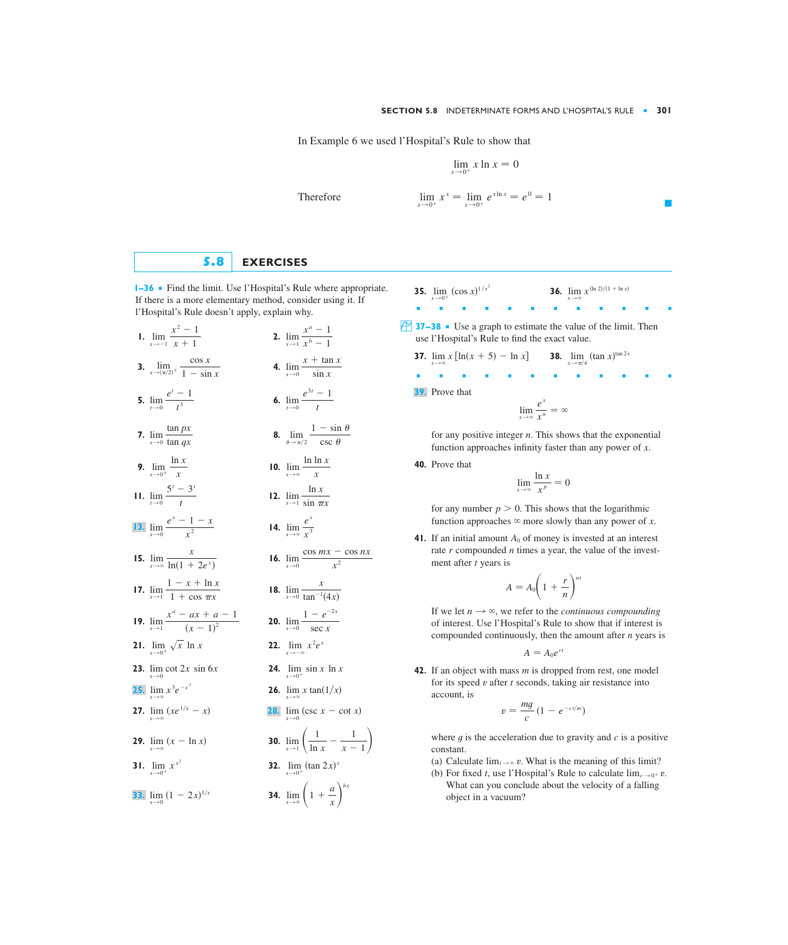In Example 6 we used l'Hospital's Rule to show that

$$
\lim_{x \to 0^+} x \ln x = 0
$$

Therefore 
$$
\lim_{x \to 0^+} x^x = \lim_{x \to 0^+} e^{x \ln x} = e^0 = 1
$$

## **5.8 EXERCISES**

**1–36** ■ Find the limit. Use l'Hospital's Rule where appropriate. If there is a more elementary method, consider using it. If l'Hospital's Rule doesn't apply, explain why.

- 1.  $\lim_{x \to -1} \frac{x^2 + 1}{x + 1}$  2. **3.**  $\lim_{x \to (\pi/2)^+} \frac{\cos x}{1 - \sin x}$  **4.**  $\lim_{x \to 0} \frac{x + \tan x}{\sin x}$ **5.**  $\lim_{t\to0} \frac{e^{t}}{t^3}$  **6. 7.**  $\lim_{x\to 0} \frac{\tan P}{\tan qx}$  **8. 9.**  $\lim_{x\to 0^+} \frac{\dots}{x}$  **10. 11.**  $\lim_{t \to 0} \frac{1}{t}$  **12.** 14.  $\lim_{x\to\infty}$ **15.**  $\lim_{x \to \infty} \frac{1}{\ln(1 + 2e^x)}$  **16. 17.**  $\lim_{x \to 1} \frac{2x + 2x - 2}{1 + \cos \pi x}$  **18. 19.**  $\lim_{x\to 1} \frac{x}{(x-1)^2}$  **20.**  $\lim_{x\to 0} \frac{1}{\sec x}$ **21.**  $\lim_{x \to 0^+} \sqrt{x} \ln x$  **22. 23.**  $\lim_{x \to 0} \cot 2x \sin 6x$  **24.**  $\lim_{x \to \infty} x^3 e^{-x^2}$  **26.**  $\lim_{x \to \infty} x \tan(1/x)$ **27.**  $\lim (xe^{1/x} - x)$ **29.**  $\lim (x - \ln x)$  **30. 31.**  $\lim_{x \to 0^+} x^{x^2}$  **32. 34.**  $\lim_{x \to \infty} \left( 1 + \frac{a}{x} \right)^{bx}$ **33.**  $\lim_{x\to 0} (1-2x)^{1/x}$  $\lim_{x \to 0^+} x^{x^2}$  **32.**  $\lim_{x \to 0^+} (\tan 2x)^x$  $\lim_{x \to \infty} (x - \ln x)$  **30.**  $\lim_{x \to 1} \left( \frac{1}{\ln x} - \frac{1}{x - 1} \right)$  $\lim_{x \to \infty} (xe^{1/x} - x)$  **28.**  $\lim_{x \to 0} (\csc x - \cot x)$  $x \rightarrow \infty$ **25.**  $\lim x^3 e^{-x^2}$  $\lim_{x \to 0} \cot 2x \sin 6x$  **24.**  $\lim_{x \to 0^+} \sin x \ln x$  $\lim_{x \to \infty} \sqrt{x} \ln x$  22.  $\lim_{x \to \infty} x^2 e^x$  $x \rightarrow -\infty$  $\lim_{x\to 0}$  $1 - e^{-2x}$  $x^a - ax + a - 1$  $(x - 1)^2$  $\lim_{x\to 0}$ *x*  $\lim_{x \to 1} \frac{x}{1 + \cos \pi x}$  **18.**  $\lim_{x \to 0} \frac{x}{\tan^{-1}(4x)}$  $1 - x + \ln x$  $1 + \cos \pi x$  $\lim_{x\to 0}$  $\lim_{x \to \infty} \frac{x}{\ln(1 + 2e^x)}$  **16.**  $\lim_{x \to 0} \frac{\cos mx - \cos nx}{x^2}$ *x*  $ln(1 + 2e^{x})$ *ex*  $\lim_{x\to 0} \frac{x^2}{x^2}$  **14.**  $\lim_{x\to \infty} \frac{x}{x^3}$ **13.**  $\lim_{x \to 0} \frac{e^x - 1 - x}{x^2}$  $\lim_{x\to 1}$  $\lim_{t \to 0} \frac{5^t - 3^t}{t}$  **12.**  $\lim_{x \to 1} \frac{\ln x}{\sin \pi x}$  $5^{t} - 3^{t}$ *t*  $\lim_{x\to\infty}$  $\lim_{x \to 0^+} \frac{\ln x}{x}$  **10.**  $\lim_{x \to \infty} \frac{\ln \ln x}{x}$ ln *x x*  $\lim_{\theta \to \pi/2}$  $1 - \sin \theta$  $\csc \theta$ tan *px* tan *qx*  $\lim_{t\to 0}$  $e^{3t} - 1$ *t*  $e^{t} - 1$ *t* 3  $\lim_{x\to 0}$  $x + \tan x$  $1 - \sin x$  $\lim_{x\to 1}$  $x^a - 1$  $x^b - 1$  $x^2 - 1$  $x + 1$
- **35.**  $\lim_{x \to 0^+} (\cos x)^{1/x^2}$  **36.** ■■■■■■■■■■■■  $\overline{4}$  **37–38** • Use a graph to estimate the value of the limit. Then use l'Hospital's Rule to find the exact value.  $\lim_{x \to 0^+} (\cos x)^{1/x^2}$  **36.**  $\lim_{x \to \infty} x^{(\ln 2)/(1 + \ln x)}$ 
	- **37.**  $\lim_{x \to \infty} x [\ln(x + 5) \ln x]$  **38.**  $\lim_{x \to \pi/4} (\tan x)^{\tan 2x}$ ■■■■■■■■■■■■ **39.** Prove that  $\lim_{x \to \pi/4}$  (tan *x*)

$$
\lim_{x\to\infty}\frac{e^x}{x^n}=\infty
$$

for any positive integer *n*. This shows that the exponential function approaches infinity faster than any power of  $x$ .

**40.** Prove that

$$
\lim_{x \to \infty} \frac{\ln x}{x^p} = 0
$$

for any number  $p > 0$ . This shows that the logarithmic function approaches  $\infty$  more slowly than any power of x.

**41.** If an initial amount  $A_0$  of money is invested at an interest rate  $r$  compounded  $n$  times a year, the value of the investment after *t* years is

$$
A = A_0 \left( 1 + \frac{r}{n} \right)^{nt}
$$

If we let  $n \to \infty$ , we refer to the *continuous compounding* of interest. Use l'Hospital's Rule to show that if interest is compounded continuously, then the amount after *n* years is

$$
A=A_0e^{rt}
$$

**42.** If an object with mass *m* is dropped from rest, one model for its speed  $v$  after  $t$  seconds, taking air resistance into account, is

$$
v=\frac{mg}{c}(1-e^{-ct/m})
$$

where  $g$  is the acceleration due to gravity and  $c$  is a positive constant.

- (a) Calculate  $\lim_{t \to \infty} v$ . What is the meaning of this limit?
- (b) For fixed *t*, use l'Hospital's Rule to calculate  $\lim_{\epsilon \to 0^+} v$ . What can you conclude about the velocity of a falling object in a vacuum?